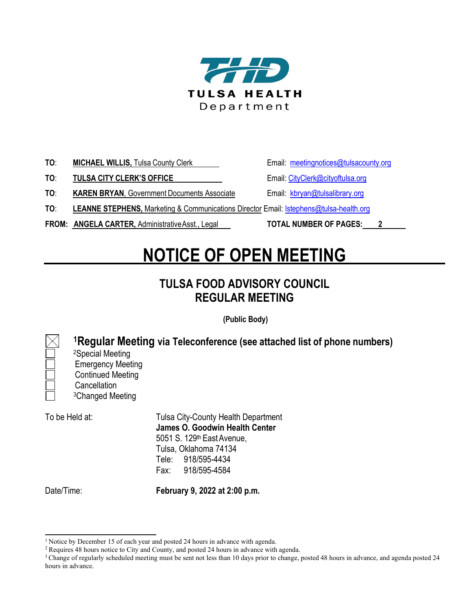

| TO: | <b>MICHAEL WILLIS, Tulsa County Clerk</b> |  |
|-----|-------------------------------------------|--|
|     |                                           |  |

**TO: TULSA CITY CLERK'S OFFICE** Email: [CityClerk@cityoftulsa.org](mailto:jhabibi@cityoftulsa.org)

**Email: [meetingnotices@tulsacounty.org](mailto:meetingnotices@tulsacounty.org)** 

**TO: KAREN BRYAN**, Government Documents Associate Email: [kbryan@tulsalibrary.org](mailto:kbryan@tulsalibrary.org)

**TO**: **LEANNE STEPHENS,** Marketing & Communications Director Email: [lstephens@tulsa-health.org](mailto:lstephens@tulsa-health.org)

**FROM: ANGELA CARTER,** AdministrativeAsst., Legal **TOTAL NUMBER OF PAGES: 2**

## **NOTICE OF OPEN MEETING**

## **TULSA FOOD ADVISORY COUNCIL REGULAR MEETING**

**(Public Body)**

0F **1Regular Meeting via Teleconference (see attached list of phone numbers)** <sup>2</sup>Special Meeting Emergency Meeting Continued Meeting **Cancellation** <sup>3</sup>Changed Meeting

To be Held at: Tulsa City-County Health Department **James O. Goodwin Health Center**  5051 S. 129th EastAvenue, Tulsa, Oklahoma 74134 Tele: 918/595-4434 Fax: 918/595-4584

Date/Time: **February 9, 2022 at 2:00 p.m.**

<sup>&</sup>lt;sup>1</sup> Notice by December 15 of each year and posted 24 hours in advance with agenda.

<sup>2</sup> Requires 48 hours notice to City and County, and posted 24 hours in advance with agenda.

<sup>&</sup>lt;sup>3</sup> Change of regularly scheduled meeting must be sent not less than 10 days prior to change, posted 48 hours in advance, and agenda posted 24 hours in advance.